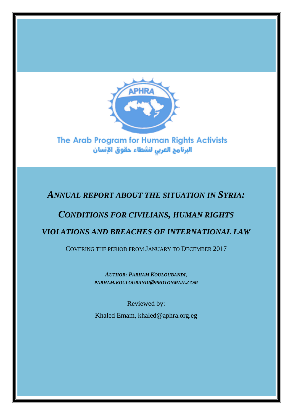

The Arab Program for Human Rights Activists البرنامج العربى لنشطاء حقوق الإنسان

## *ANNUAL REPORT ABOUT THE SITUATION IN SYRIA:*

# *CONDITIONS FOR CIVILIANS, HUMAN RIGHTS VIOLATIONS AND BREACHES OF INTERNATIONAL LAW*

COVERING THE PERIOD FROM JANUARY TO DECEMBER 2017

*AUTHOR: PARHAM KOULOUBANDI, PARHAM.KOULOUBANDI@PROTONMAIL.COM*

Reviewed by:

Khaled Emam, khaled@aphra.org.eg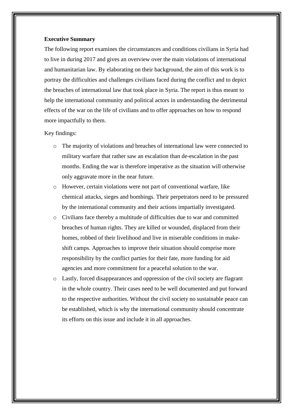#### **Executive Summary**

The following report examines the circumstances and conditions civilians in Syria had to live in during 2017 and gives an overview over the main violations of international and humanitarian law. By elaborating on their background, the aim of this work is to portray the difficulties and challenges civilians faced during the conflict and to depict the breaches of international law that took place in Syria. The report is thus meant to help the international community and political actors in understanding the detrimental effects of the war on the life of civilians and to offer approaches on how to respond more impactfully to them.

#### Key findings:

- o The majority of violations and breaches of international law were connected to military warfare that rather saw an escalation than de-escalation in the past months. Ending the war is therefore imperative as the situation will otherwise only aggravate more in the near future.
- o However, certain violations were not part of conventional warfare, like chemical attacks, sieges and bombings. Their perpetrators need to be pressured by the international community and their actions impartially investigated.
- o Civilians face thereby a multitude of difficulties due to war and committed breaches of human rights. They are killed or wounded, displaced from their homes, robbed of their livelihood and live in miserable conditions in makeshift camps. Approaches to improve their situation should comprise more responsibility by the conflict parties for their fate, more funding for aid agencies and more commitment for a peaceful solution to the war.
- o Lastly, forced disappearances and oppression of the civil society are flagrant in the whole country. Their cases need to be well documented and put forward to the respective authorities. Without the civil society no sustainable peace can be established, which is why the international community should concentrate its efforts on this issue and include it in all approaches.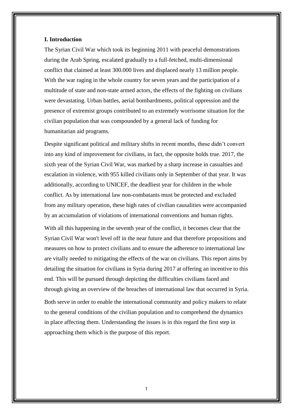#### **I. Introduction**

The Syrian Civil War which took its beginning 2011 with peaceful demonstrations during the Arab Spring, escalated gradually to a full-fetched, multi-dimensional conflict that claimed at least 300.000 lives and displaced nearly 13 million people. With the war raging in the whole country for seven years and the participation of a multitude of state and non-state armed actors, the effects of the fighting on civilians were devastating. Urban battles, aerial bombardments, political oppression and the presence of extremist groups contributed to an extremely worrisome situation for the civilian population that was compounded by a general lack of funding for humanitarian aid programs.

Despite significant political and military shifts in recent months, these didn't convert into any kind of improvement for civilians, in fact, the opposite holds true. 2017, the sixth year of the Syrian Civil War, was marked by a sharp increase in casualties and escalation in violence, with 955 killed civilians only in September of that year. It was additionally, according to UNICEF, the deadliest year for children in the whole conflict. As by international law non-combatants must be protected and excluded from any military operation, these high rates of civilian causalities were accompanied by an accumulation of violations of international conventions and human rights.

With all this happening in the seventh year of the conflict, it becomes clear that the Syrian Civil War won't level off in the near future and that therefore propositions and measures on how to protect civilians and to ensure the adherence to international law are vitally needed to mitigating the effects of the war on civilians. This report aims by detailing the situation for civilians in Syria during 2017 at offering an incentive to this end. This will be pursued through depicting the difficulties civilians faced and through giving an overview of the breaches of international law that occurred in Syria. Both serve in order to enable the international community and policy makers to relate to the general conditions of the civilian population and to comprehend the dynamics in place affecting them. Understanding the issues is in this regard the first step in approaching them which is the purpose of this report.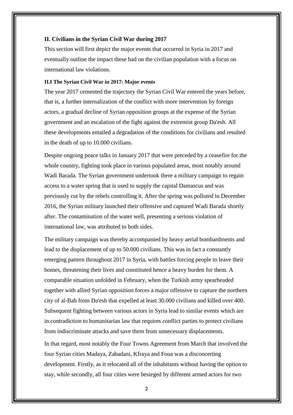#### **II. Civilians in the Syrian Civil War during 2017**

This section will first depict the major events that occurred in Syria in 2017 and eventually outline the impact these had on the civilian population with a focus on international law violations.

#### **II.I The Syrian Civil War in 2017: Major events**

The year 2017 cemented the trajectory the Syrian Civil War entered the years before, that is, a further internalization of the conflict with more intervention by foreign actors, a gradual decline of Syrian opposition groups at the expense of the Syrian government and an escalation of the fight against the extremist group Da'esh. All these developments entailed a degradation of the conditions for civilians and resulted in the death of up to 10.000 civilians.

Despite ongoing peace talks in January 2017 that were preceded by a ceasefire for the whole country, fighting took place in various populated areas, most notably around Wadi Barada. The Syrian government undertook there a military campaign to regain access to a water spring that is used to supply the capital Damascus and was previously cut by the rebels controlling it. After the spring was polluted in December 2016, the Syrian military launched their offensive and captured Wadi Barada shortly after. The contamination of the water well, presenting a serious violation of international law, was attributed to both sides.

The military campaign was thereby accompanied by heavy aerial bombardments and lead to the displacement of up to 50.000 civilians. This was in fact a constantly emerging pattern throughout 2017 in Syria, with battles forcing people to leave their homes, threatening their lives and constituted hence a heavy burden for them. A comparable situation unfolded in February, when the Turkish army spearheaded together with allied Syrian opposition forces a major offensive to capture the northern city of al-Bab from Da'esh that expelled at least 30.000 civilians and killed over 400. Subsequent fighting between various actors in Syria lead to similar events which are in contradiction to humanitarian law that requires conflict parties to protect civilians from indiscriminate attacks and save them from unnecessary displacements.

In that regard, most notably the Four Towns Agreement from March that involved the four Syrian cities Madaya, Zabadani, Kfraya and Foua was a disconcerting development. Firstly, as it relocated all of the inhabitants without having the option to stay, while secondly, all four cities were besieged by different armed actors for two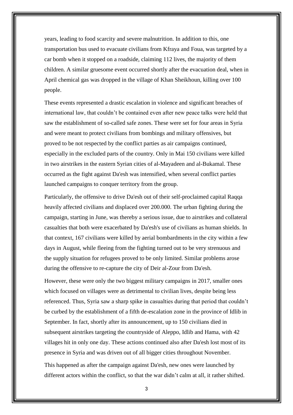years, leading to food scarcity and severe malnutrition. In addition to this, one transportation bus used to evacuate civilians from Kfraya and Foua, was targeted by a car bomb when it stopped on a roadside, claiming 112 lives, the majority of them children. A similar gruesome event occurred shortly after the evacuation deal, when in April chemical gas was dropped in the village of Khan Sheikhoun, killing over 100 people.

These events represented a drastic escalation in violence and significant breaches of international law, that couldn't be contained even after new peace talks were held that saw the establishment of so-called safe zones. These were set for four areas in Syria and were meant to protect civilians from bombings and military offensives, but proved to be not respected by the conflict parties as air campaigns continued, especially in the excluded parts of the country. Only in Mai 150 civilians were killed in two airstrikes in the eastern Syrian cities of al-Mayadeen and al-Bukamal. These occurred as the fight against Da'esh was intensified, when several conflict parties launched campaigns to conquer territory from the group.

Particularly, the offensive to drive Da'esh out of their self-proclaimed capital Raqqa heavily affected civilians and displaced over 200.000. The urban fighting during the campaign, starting in June, was thereby a serious issue, due to airstrikes and collateral casualties that both were exacerbated by Da'esh's use of civilians as human shields. In that context, 167 civilians were killed by aerial bombardments in the city within a few days in August, while fleeing from the fighting turned out to be very strenuous and the supply situation for refugees proved to be only limited. Similar problems arose during the offensive to re-capture the city of Deir al-Zour from Da'esh.

However, these were only the two biggest military campaigns in 2017, smaller ones which focused on villages were as detrimental to civilian lives, despite being less referenced. Thus, Syria saw a sharp spike in casualties during that period that couldn't be curbed by the establishment of a fifth de-escalation zone in the province of Idlib in September. In fact, shortly after its announcement, up to 150 civilians died in subsequent airstrikes targeting the countryside of Aleppo, Idlib and Hama, with 42 villages hit in only one day. These actions continued also after Da'esh lost most of its presence in Syria and was driven out of all bigger cities throughout November. This happened as after the campaign against Da'esh, new ones were launched by different actors within the conflict, so that the war didn't calm at all, it rather shifted.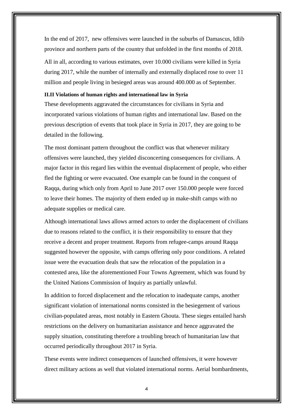In the end of 2017, new offensives were launched in the suburbs of Damascus, Idlib province and northern parts of the country that unfolded in the first months of 2018.

All in all, according to various estimates, over 10.000 civilians were killed in Syria during 2017, while the number of internally and externally displaced rose to over 11 million and people living in besieged areas was around 400.000 as of September.

### **II.II Violations of human rights and international law in Syria**

These developments aggravated the circumstances for civilians in Syria and incorporated various violations of human rights and international law. Based on the previous description of events that took place in Syria in 2017, they are going to be detailed in the following.

The most dominant pattern throughout the conflict was that whenever military offensives were launched, they yielded disconcerting consequences for civilians. A major factor in this regard lies within the eventual displacement of people, who either fled the fighting or were evacuated. One example can be found in the conquest of Raqqa, during which only from April to June 2017 over 150.000 people were forced to leave their homes. The majority of them ended up in make-shift camps with no adequate supplies or medical care.

Although international laws allows armed actors to order the displacement of civilians due to reasons related to the conflict, it is their responsibility to ensure that they receive a decent and proper treatment. Reports from refugee-camps around Raqqa suggested however the opposite, with camps offering only poor conditions. A related issue were the evacuation deals that saw the relocation of the population in a contested area, like the aforementioned Four Towns Agreement, which was found by the United Nations Commission of Inquiry as partially unlawful.

In addition to forced displacement and the relocation to inadequate camps, another significant violation of international norms consisted in the besiegement of various civilian-populated areas, most notably in Eastern Ghouta. These sieges entailed harsh restrictions on the delivery on humanitarian assistance and hence aggravated the supply situation, constituting therefore a troubling breach of humanitarian law that occurred periodically throughout 2017 in Syria.

These events were indirect consequences of launched offensives, it were however direct military actions as well that violated international norms. Aerial bombardments,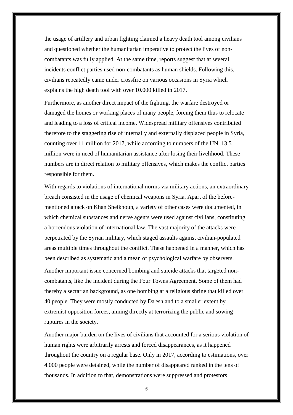the usage of artillery and urban fighting claimed a heavy death tool among civilians and questioned whether the humanitarian imperative to protect the lives of noncombatants was fully applied. At the same time, reports suggest that at several incidents conflict parties used non-combatants as human shields. Following this, civilians repeatedly came under crossfire on various occasions in Syria which explains the high death tool with over 10.000 killed in 2017.

Furthermore, as another direct impact of the fighting, the warfare destroyed or damaged the homes or working places of many people, forcing them thus to relocate and leading to a loss of critical income. Widespread military offensives contributed therefore to the staggering rise of internally and externally displaced people in Syria, counting over 11 million for 2017, while according to numbers of the UN, 13.5 million were in need of humanitarian assistance after losing their livelihood. These numbers are in direct relation to military offensives, which makes the conflict parties responsible for them.

With regards to violations of international norms via military actions, an extraordinary breach consisted in the usage of chemical weapons in Syria. Apart of the beforementioned attack on Khan Sheikhoun, a variety of other cases were documented, in which chemical substances and nerve agents were used against civilians, constituting a horrendous violation of international law. The vast majority of the attacks were perpetrated by the Syrian military, which staged assaults against civilian-populated areas multiple times throughout the conflict. These happened in a manner, which has been described as systematic and a mean of psychological warfare by observers.

Another important issue concerned bombing and suicide attacks that targeted noncombatants, like the incident during the Four Towns Agreement. Some of them had thereby a sectarian background, as one bombing at a religious shrine that killed over 40 people. They were mostly conducted by Da'esh and to a smaller extent by extremist opposition forces, aiming directly at terrorizing the public and sowing ruptures in the society.

Another major burden on the lives of civilians that accounted for a serious violation of human rights were arbitrarily arrests and forced disappearances, as it happened throughout the country on a regular base. Only in 2017, according to estimations, over 4.000 people were detained, while the number of disappeared ranked in the tens of thousands. In addition to that, demonstrations were suppressed and protestors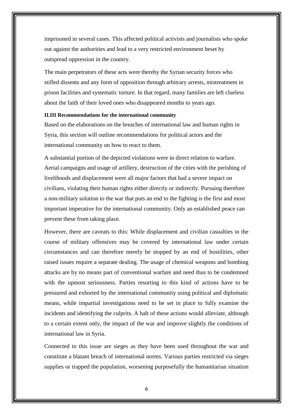imprisoned in several cases. This affected political activists and journalists who spoke out against the authorities and lead to a very restricted environment beset by outspread oppression in the country.

The main perpetrators of these acts were thereby the Syrian security forces who stifled dissents and any form of opposition through arbitrary arrests, mistreatment in prison facilities and systematic torture. In that regard, many families are left clueless about the faith of their loved ones who disappeared months to years ago.

#### **II.III Recommendations for the international community**

Based on the elaborations on the breaches of international law and human rights in Syria, this section will outline recommendations for political actors and the international community on how to react to them.

A substantial portion of the depicted violations were in direct relation to warfare. Aerial campaigns and usage of artillery, destruction of the cities with the perishing of livelihoods and displacement were all major factors that had a severe impact on civilians, violating their human rights either directly or indirectly. Pursuing therefore a non-military solution to the war that puts an end to the fighting is the first and most important imperative for the international community. Only an established peace can prevent these from taking place.

However, there are caveats to this: While displacement and civilian casualties in the course of military offensives may be covered by international law under certain circumstances and can therefore merely be stopped by an end of hostilities, other raised issues require a separate dealing. The usage of chemical weapons and bombing attacks are by no means part of conventional warfare and need thus to be condemned with the upmost seriousness. Parties resorting to this kind of actions have to be pressured and exhorted by the international community using political and diplomatic means, while impartial investigations need to be set in place to fully examine the incidents and identifying the culprits. A halt of these actions would alleviate, although to a certain extent only, the impact of the war and improve slightly the conditions of international law in Syria.

Connected to this issue are sieges as they have been used throughout the war and constitute a blatant breach of international norms. Various parties restricted via sieges supplies or trapped the population, worsening purposefully the humanitarian situation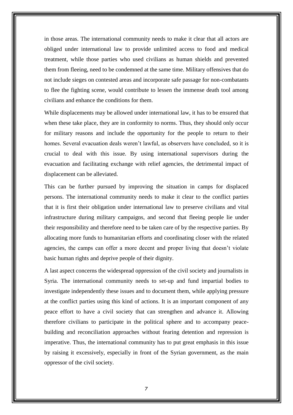in those areas. The international community needs to make it clear that all actors are obliged under international law to provide unlimited access to food and medical treatment, while those parties who used civilians as human shields and prevented them from fleeing, need to be condemned at the same time. Military offensives that do not include sieges on contested areas and incorporate safe passage for non-combatants to flee the fighting scene, would contribute to lessen the immense death tool among civilians and enhance the conditions for them.

While displacements may be allowed under international law, it has to be ensured that when these take place, they are in conformity to norms. Thus, they should only occur for military reasons and include the opportunity for the people to return to their homes. Several evacuation deals weren't lawful, as observers have concluded, so it is crucial to deal with this issue. By using international supervisors during the evacuation and facilitating exchange with relief agencies, the detrimental impact of displacement can be alleviated.

This can be further pursued by improving the situation in camps for displaced persons. The international community needs to make it clear to the conflict parties that it is first their obligation under international law to preserve civilians and vital infrastructure during military campaigns, and second that fleeing people lie under their responsibility and therefore need to be taken care of by the respective parties. By allocating more funds to humanitarian efforts and coordinating closer with the related agencies, the camps can offer a more decent and proper living that doesn't violate basic human rights and deprive people of their dignity.

A last aspect concerns the widespread oppression of the civil society and journalists in Syria. The international community needs to set-up and fund impartial bodies to investigate independently these issues and to document them, while applying pressure at the conflict parties using this kind of actions. It is an important component of any peace effort to have a civil society that can strengthen and advance it. Allowing therefore civilians to participate in the political sphere and to accompany peacebuilding and reconciliation approaches without fearing detention and repression is imperative. Thus, the international community has to put great emphasis in this issue by raising it excessively, especially in front of the Syrian government, as the main oppressor of the civil society.